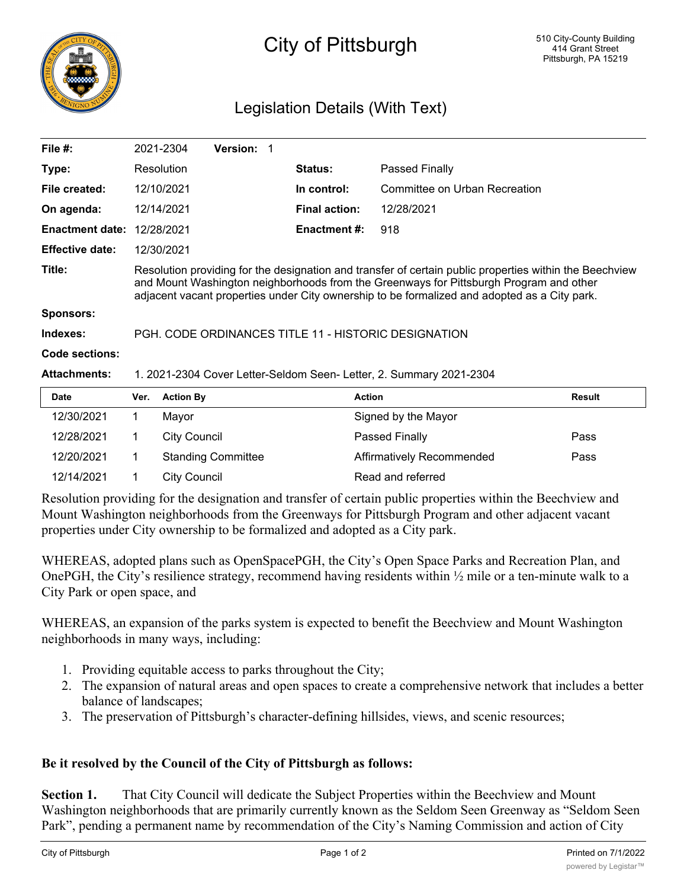

## City of Pittsburgh

## Legislation Details (With Text)

| File #:                | 2021-2304                                                                                                                                                                                                                                                                                         | <b>Version:</b> |                      |                               |  |  |
|------------------------|---------------------------------------------------------------------------------------------------------------------------------------------------------------------------------------------------------------------------------------------------------------------------------------------------|-----------------|----------------------|-------------------------------|--|--|
| Type:                  | Resolution                                                                                                                                                                                                                                                                                        |                 | <b>Status:</b>       | Passed Finally                |  |  |
| File created:          | 12/10/2021                                                                                                                                                                                                                                                                                        |                 | In control:          | Committee on Urban Recreation |  |  |
| On agenda:             | 12/14/2021                                                                                                                                                                                                                                                                                        |                 | <b>Final action:</b> | 12/28/2021                    |  |  |
| <b>Enactment date:</b> | 12/28/2021                                                                                                                                                                                                                                                                                        |                 | Enactment #:         | 918                           |  |  |
| <b>Effective date:</b> | 12/30/2021                                                                                                                                                                                                                                                                                        |                 |                      |                               |  |  |
| Title:                 | Resolution providing for the designation and transfer of certain public properties within the Beechview<br>and Mount Washington neighborhoods from the Greenways for Pittsburgh Program and other<br>adjacent vacant properties under City ownership to be formalized and adopted as a City park. |                 |                      |                               |  |  |
| <b>Sponsors:</b>       |                                                                                                                                                                                                                                                                                                   |                 |                      |                               |  |  |
| Indexes:               | PGH, CODE ORDINANCES TITLE 11 - HISTORIC DESIGNATION                                                                                                                                                                                                                                              |                 |                      |                               |  |  |
| Code sections:         |                                                                                                                                                                                                                                                                                                   |                 |                      |                               |  |  |
| <b>Attachments:</b>    | 1. 2021-2304 Cover Letter-Seldom Seen- Letter, 2. Summary 2021-2304                                                                                                                                                                                                                               |                 |                      |                               |  |  |
| <b>Date</b>            | <b>Action By</b><br>Ver.                                                                                                                                                                                                                                                                          |                 | <b>Action</b>        | <b>Result</b>                 |  |  |

| Date       | Ver. | <b>Action By</b>          | <b>Action</b>             | Result |
|------------|------|---------------------------|---------------------------|--------|
| 12/30/2021 |      | Mavor                     | Signed by the Mayor       |        |
| 12/28/2021 |      | City Council              | Passed Finally            | Pass   |
| 12/20/2021 |      | <b>Standing Committee</b> | Affirmatively Recommended | Pass   |
| 12/14/2021 |      | City Council              | Read and referred         |        |

Resolution providing for the designation and transfer of certain public properties within the Beechview and Mount Washington neighborhoods from the Greenways for Pittsburgh Program and other adjacent vacant properties under City ownership to be formalized and adopted as a City park.

WHEREAS, adopted plans such as OpenSpacePGH, the City's Open Space Parks and Recreation Plan, and OnePGH, the City's resilience strategy, recommend having residents within ½ mile or a ten-minute walk to a City Park or open space, and

WHEREAS, an expansion of the parks system is expected to benefit the Beechview and Mount Washington neighborhoods in many ways, including:

- 1. Providing equitable access to parks throughout the City;
- 2. The expansion of natural areas and open spaces to create a comprehensive network that includes a better balance of landscapes;
- 3. The preservation of Pittsburgh's character-defining hillsides, views, and scenic resources;

## **Be it resolved by the Council of the City of Pittsburgh as follows:**

**Section 1.** That City Council will dedicate the Subject Properties within the Beechview and Mount Washington neighborhoods that are primarily currently known as the Seldom Seen Greenway as "Seldom Seen Park", pending a permanent name by recommendation of the City's Naming Commission and action of City